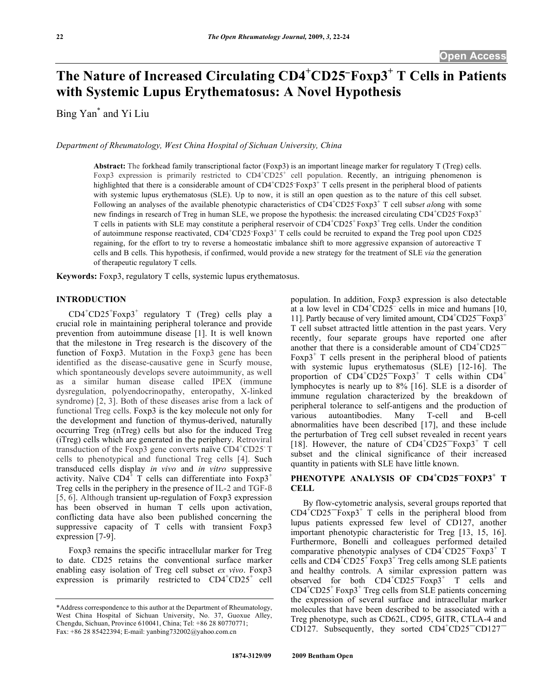# The Nature of Increased Circulating  $CD4^+CD25^-$ Foxp3<sup>+</sup> T Cells in Patients **with Systemic Lupus Erythematosus: A Novel Hypothesis**

Bing Yan\* and Yi Liu

*Department of Rheumatology, West China Hospital of Sichuan University, China* 

**Abstract:** The forkhead family transcriptional factor (Foxp3) is an important lineage marker for regulatory T (Treg) cells. Foxp3 expression is primarily restricted to  $CD4+CD25+$  cell population. Recently, an intriguing phenomenon is highlighted that there is a considerable amount of  $CD4+CD25+F\exp 3+T$  cells present in the peripheral blood of patients with systemic lupus erythematosus (SLE). Up to now, it is still an open question as to the nature of this cell subset. Following an analyses of the available phenotypic characteristics of CD4<sup>+</sup>CD25<sup>-</sup>Foxp3<sup>+</sup> T cell subset along with some new findings in research of Treg in human SLE, we propose the hypothesis: the increased circulating CD4<sup>+</sup>CD25<sup>-</sup>Foxp3<sup>+</sup> T cells in patients with SLE may constitute a peripheral reservoir of CD4<sup>+</sup>CD25<sup>+</sup> Foxp3<sup>+</sup> Treg cells. Under the condition of autoimmune response reactivated,  $CD4\textsuperscript{+}CD25\textsuperscript{+}TC$  cells could be recruited to expand the Treg pool upon CD25 regaining, for the effort to try to reverse a homeostatic imbalance shift to more aggressive expansion of autoreactive T cells and B cells. This hypothesis, if confirmed, would provide a new strategy for the treatment of SLE *via* the generation of therapeutic regulatory T cells.

**Keywords:** Foxp3, regulatory T cells, systemic lupus erythematosus.

#### **INTRODUCTION**

 $CD4^+CD25^+$  Foxp3<sup>+</sup> regulatory T (Treg) cells play a crucial role in maintaining peripheral tolerance and provide prevention from autoimmune disease [1]. It is well known that the milestone in Treg research is the discovery of the function of Foxp3. Mutation in the Foxp3 gene has been identified as the disease-causative gene in Scurfy mouse, which spontaneously develops severe autoimmunity, as well as a similar human disease called IPEX (immune dysregulation, polyendocrinopathy, enteropathy, X-linked syndrome) [2, 3]. Both of these diseases arise from a lack of functional Treg cells. Foxp3 is the key molecule not only for the development and function of thymus-derived, naturally occurring Treg (nTreg) cells but also for the induced Treg (iTreg) cells which are generated in the periphery. Retroviral transduction of the Foxp3 gene converts naïve CD4<sup>+</sup>CD25 T cells to phenotypical and functional Treg cells [4]. Such transduced cells display *in vivo* and *in vitro* suppressive activity. Naïve  $CD4^{\frac{1}{4}}$  T cells can differentiate into  $F\text{exp3}^+$ Treg cells in the periphery in the presence of IL-2 and TGF-ß [5, 6]. Although transient up-regulation of Foxp3 expression has been observed in human T cells upon activation, conflicting data have also been published concerning the suppressive capacity of T cells with transient Foxp3 expression [7-9].

 Foxp3 remains the specific intracellular marker for Treg to date. CD25 retains the conventional surface marker enabling easy isolation of Treg cell subset *ex vivo*. Foxp3 expression is primarily restricted to  $CD4^+CD25^+$  cell population. In addition, Foxp3 expression is also detectable at a low level in  $CD4^{\circ}CD25$  cells in mice and humans [10, 11]. Partly because of very limited amount, CD4<sup>+</sup>CD25<sup>-</sup>Foxp3<sup>+</sup> T cell subset attracted little attention in the past years. Very recently, four separate groups have reported one after another that there is a considerable amount of  $CD4^+CD25^-$ Foxp $3^+$  T cells present in the peripheral blood of patients with systemic lupus erythematosus (SLE) [12-16]. The proportion of  $CD4+CD25=$  Foxp3<sup>+</sup> T cells within  $CD4+$ lymphocytes is nearly up to 8% [16]. SLE is a disorder of immune regulation characterized by the breakdown of peripheral tolerance to self-antigens and the production of various autoantibodies. Many T-cell and B-cell abnormalities have been described [17], and these include the perturbation of Treg cell subset revealed in recent years [18]. However, the nature of  $CD4\textsuperscript{+}CD25\textsuperscript{--}F\text{oxp3}^+$  T cell subset and the clinical significance of their increased quantity in patients with SLE have little known.

## **PHENOTYPE ANALYSIS OF CD4<sup>+</sup> CD25FOXP3<sup>+</sup> T CELL**

 By flow-cytometric analysis, several groups reported that  $CD4^{\dagger}CD25^{\dagger}F\$ grapheral blood from lupus patients expressed few level of CD127, another important phenotypic characteristic for Treg [13, 15, 16]. Furthermore, Bonelli and colleagues performed detailed comparative phenotypic analyses of  $CD4^+CD25^-$ Foxp3<sup>+</sup> T cells and  $CD\overline{4}^+CD2\overline{5}^+$  Foxp3<sup>+</sup> Treg cells among SLE patients and healthy controls. A similar expression pattern was observed for both  $CD4+CD25=Forp3+T$  cells and  $CD4^+CD25^+$  Foxp3<sup>+</sup> Treg cells from SLE patients concerning the expression of several surface and intracellular marker molecules that have been described to be associated with a Treg phenotype, such as CD62L, CD95, GITR, CTLA-4 and CD127. Subsequently, they sorted  $CD4\textsuperscript{+}CD25\textsuperscript{+}CD127\textsuperscript{+}$ 

<sup>\*</sup>Address correspondence to this author at the Department of Rheumatology, West China Hospital of Sichuan University, No. 37, Guoxue Alley, Chengdu, Sichuan, Province 610041, China; Tel: +86 28 80770771; Fax: +86 28 85422394; E-mail: yanbing732002@yahoo.com.cn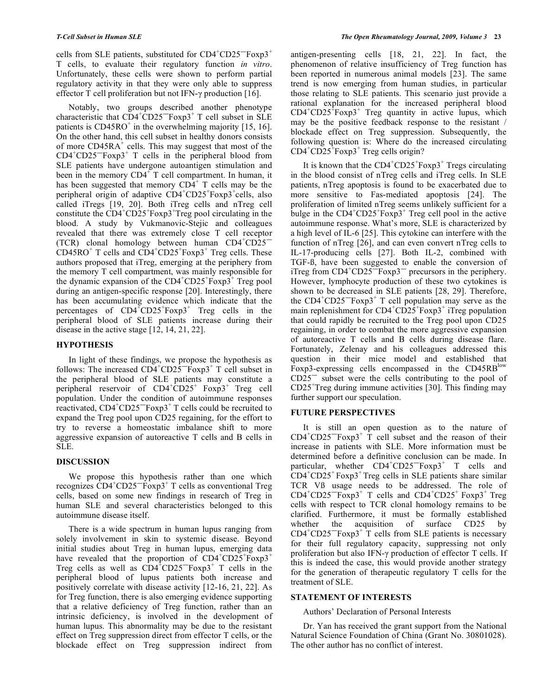cells from SLE patients, substituted for  $CD4^+CD25^-$ Foxp3<sup>+</sup> T cells, to evaluate their regulatory function *in vitro*. Unfortunately, these cells were shown to perform partial regulatory activity in that they were only able to suppress effector T cell proliferation but not IFN- $\gamma$  production [16].

 Notably, two groups described another phenotype characteristic that  $CD4+CD25=F\exp 3+T$  cell subset in SLE patients is CD45RO<sup>+</sup> in the overwhelming majority [15, 16]. On the other hand, this cell subset in healthy donors consists of more  $CD45RA^+$  cells. This may suggest that most of the  $CD4^+CD25^-$ Foxp $3^+$  T cells in the peripheral blood from SLE patients have undergone autoantigen stimulation and been in the memory  $CD4^+$ T cell compartment. In human, it has been suggested that memory  $CD\dot{4}^+$  T cells may be the peripheral origin of adaptive CD4<sup>+</sup>CD25<sup>+</sup>Foxp3<sup>+</sup>cells, also called iTregs [19, 20]. Both iTreg cells and nTreg cell constitute the  $CD4^+CD25^+$ Foxp3<sup>+</sup>Treg pool circulating in the blood. A study by Vukmanovic-Stejic and colleagues revealed that there was extremely close T cell receptor (TCR) clonal homology between human  $CD4^+CD25^ CD45RO<sup>+</sup>$  T cells and  $CD4<sup>+</sup>CD25<sup>+</sup>Foxp3<sup>+</sup>$  Treg cells. These authors proposed that iTreg, emerging at the periphery from the memory T cell compartment, was mainly responsible for the dynamic expansion of the  $CD4^+CD25^+$ Foxp $3^+$  Treg pool during an antigen-specific response [20]. Interestingly, there has been accumulating evidence which indicate that the percentages of  $CD4^{\dagger}CD25^{\dagger}F\exp 3^{\dagger}$  Treg cells in the peripheral blood of SLE patients increase during their disease in the active stage [12, 14, 21, 22].

## **HYPOTHESIS**

 In light of these findings, we propose the hypothesis as follows: The increased  $CD4^+CD25^-$ Foxp3<sup>+</sup> T cell subset in the peripheral blood of SLE patients may constitute a peripheral reservoir of CD4<sup>+</sup>CD25<sup>+</sup> Foxp3<sup>+</sup> Treg cell population. Under the condition of autoimmune responses reactivated,  $CD4^+CD25^-$ Foxp3<sup>+</sup> T cells could be recruited to expand the Treg pool upon CD25 regaining, for the effort to try to reverse a homeostatic imbalance shift to more aggressive expansion of autoreactive T cells and B cells in SLE.

### **DISCUSSION**

 We propose this hypothesis rather than one which recognizes CD4<sup>+</sup>CD25<sup>-</sup>Foxp3<sup>+</sup> T cells as conventional Treg cells, based on some new findings in research of Treg in human SLE and several characteristics belonged to this autoimmune disease itself.

 There is a wide spectrum in human lupus ranging from solely involvement in skin to systemic disease. Beyond initial studies about Treg in human lupus, emerging data have revealed that the proportion of  $CD4+CD25+F\alpha p3$ <sup>+</sup> Treg cells as well as  $\text{CD4}^{\ddagger} \text{CD25}^{-} \text{Foxp3}^{+}$  T cells in the peripheral blood of lupus patients both increase and positively correlate with disease activity [12-16, 21, 22]. As for Treg function, there is also emerging evidence supporting that a relative deficiency of Treg function, rather than an intrinsic deficiency, is involved in the development of human lupus. This abnormality may be due to the resistant effect on Treg suppression direct from effector T cells, or the blockade effect on Treg suppression indirect from

antigen-presenting cells [18, 21, 22]. In fact, the phenomenon of relative insufficiency of Treg function has been reported in numerous animal models [23]. The same trend is now emerging from human studies, in particular those relating to SLE patients. This scenario just provide a rational explanation for the increased peripheral blood  $CD4^+CD25^+$ Foxp3<sup>+</sup> Treg quantity in active lupus, which may be the positive feedback response to the resistant / blockade effect on Treg suppression. Subsequently, the following question is: Where do the increased circulating  $CD4^+CD25^+$ Foxp3<sup>+</sup> Treg cells origin?

It is known that the  $CD4^+CD25^+$ Foxp3<sup>+</sup> Tregs circulating in the blood consist of nTreg cells and iTreg cells. In SLE patients, nTreg apoptosis is found to be exacerbated due to more sensitive to Fas-mediated apoptosis [24]. The proliferation of limited nTreg seems unlikely sufficient for a bulge in the  $CD4^+CD25^+$ Foxp3<sup>+</sup> Treg cell pool in the active autoimmune response. What's more, SLE is characterized by a high level of IL-6 [25]. This cytokine can interfere with the function of nTreg [26], and can even convert nTreg cells to IL-17-producing cells [27]. Both IL-2, combined with TGF-ß, have been suggested to enable the conversion of iTreg from  $CD4^+CD25^-$ Foxp3<sup>-</sup> precursors in the periphery. However, lymphocyte production of these two cytokines is shown to be decreased in SLE patients [28, 29]. Therefore, the  $CD4^+CD25^-$ Foxp3<sup>+</sup> T cell population may serve as the main replenishment for  $CD4+CD25+FGxp3+$  iTreg population that could rapidly be recruited to the Treg pool upon CD25 regaining, in order to combat the more aggressive expansion of autoreactive T cells and B cells during disease flare. Fortunately, Zelenay and his colleagues addressed this question in their mice model and established that Foxp3-expressing cells encompassed in the CD45RB<sup>low</sup>  $CD25^-$  subset were the cells contributing to the pool of CD25<sup>+</sup> Treg during immune activities [30]. This finding may further support our speculation.

### **FUTURE PERSPECTIVES**

 It is still an open question as to the nature of  $CD4^+CD25^-$ Foxp3<sup>+</sup> T cell subset and the reason of their increase in patients with SLE. More information must be determined before a definitive conclusion can be made. In particular, whether  $CD4^+CD25^-$ Foxp3<sup>+</sup> T cells and  $\text{CD4}^+\text{CD25}^+\text{Foxp3}^+\text{Treg}$  cells in SLE patients share similar TCR Vß usage needs to be addressed. The role of  $CD4^+CD25^-$ Foxp3<sup>+</sup> T cells and  $CD4^+CD25^+$  Foxp3<sup>+</sup> Treg cells with respect to TCR clonal homology remains to be clarified. Furthermore, it must be formally established whether the acquisition of surface CD25 by  $CD4^+CD25^-$ Foxp3<sup>+</sup> T cells from SLE patients is necessary for their full regulatory capacity, suppressing not only proliferation but also IFN- $\gamma$  production of effector T cells. If this is indeed the case, this would provide another strategy for the generation of therapeutic regulatory T cells for the treatment of SLE.

### **STATEMENT OF INTERESTS**

Authors' Declaration of Personal Interests

 Dr. Yan has received the grant support from the National Natural Science Foundation of China (Grant No. 30801028). The other author has no conflict of interest.